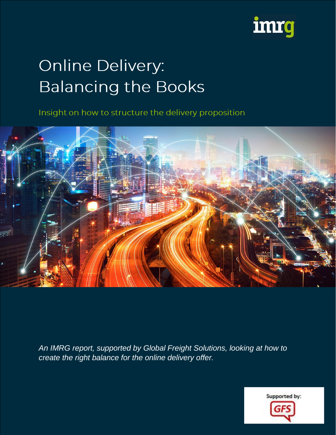

# **Online Delivery: Balancing the Books**

Insight on how to structure the delivery proposition



*An IMRG report, supported by Global Freight Solutions, looking at how to create the right balance for the online delivery offer.*

Supported by: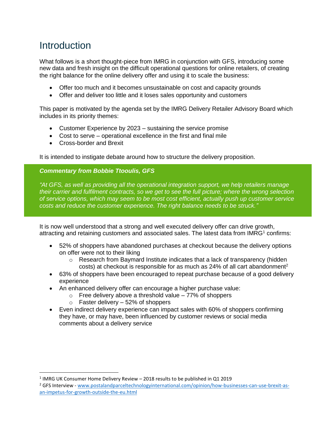# Introduction

 $\overline{a}$ 

What follows is a short thought-piece from IMRG in conjunction with GFS, introducing some new data and fresh insight on the difficult operational questions for online retailers, of creating the right balance for the online delivery offer and using it to scale the business:

- Offer too much and it becomes unsustainable on cost and capacity grounds
- Offer and deliver too little and it loses sales opportunity and customers

This paper is motivated by the agenda set by the IMRG Delivery Retailer Advisory Board which includes in its priority themes:

- Customer Experience by 2023 sustaining the service promise
- Cost to serve operational excellence in the first and final mile
- Cross-border and Brexit

It is intended to instigate debate around how to structure the delivery proposition.

#### *Commentary from Bobbie Ttooulis, GFS*

*"At GFS, as well as providing all the operational integration support, we help retailers manage their carrier and fulfilment contracts, so we get to see the full picture; where the wrong selection of service options, which may seem to be most cost efficient, actually push up customer service costs and reduce the customer experience. The right balance needs to be struck."*

It is now well understood that a strong and well executed delivery offer can drive growth, attracting and retaining customers and associated sales. The latest data from IMRG<sup>1</sup> confirms:

- 52% of shoppers have abandoned purchases at checkout because the delivery options on offer were not to their liking
	- o Research from Baymard Institute indicates that a lack of transparency (hidden costs) at checkout is responsible for as much as  $24\%$  of all cart abandonment<sup>2</sup>
- 63% of shoppers have been encouraged to repeat purchase because of a good delivery experience
- An enhanced delivery offer can encourage a higher purchase value:
	- $\circ$  Free delivery above a threshold value 77% of shoppers
		- $\circ$  Faster delivery 52% of shoppers
- Even indirect delivery experience can impact sales with 60% of shoppers confirming they have, or may have, been influenced by customer reviews or social media comments about a delivery service

 $^1$  IMRG UK Consumer Home Delivery Review – 2018 results to be published in Q1 2019

<sup>2</sup> GFS Interview - [www.postalandparceltechnologyinternational.com/opinion/how-businesses-can-use-brexit-as](http://www.postalandparceltechnologyinternational.com/opinion/how-businesses-can-use-brexit-as-an-impetus-for-growth-outside-the-eu.html)[an-impetus-for-growth-outside-the-eu.html](http://www.postalandparceltechnologyinternational.com/opinion/how-businesses-can-use-brexit-as-an-impetus-for-growth-outside-the-eu.html)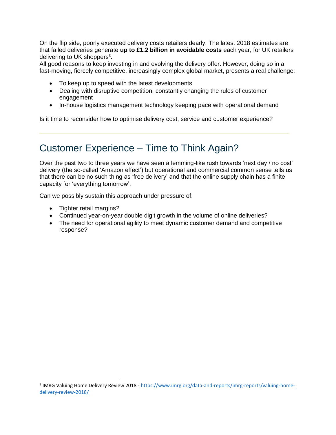On the flip side, poorly executed delivery costs retailers dearly. The latest 2018 estimates are that failed deliveries generate **up to £1.2 billion in avoidable costs** each year, for UK retailers delivering to UK shoppers<sup>3</sup>.

All good reasons to keep investing in and evolving the delivery offer. However, doing so in a fast-moving, fiercely competitive, increasingly complex global market, presents a real challenge:

- To keep up to speed with the latest developments
- Dealing with disruptive competition, constantly changing the rules of customer engagement
- In-house logistics management technology keeping pace with operational demand

Is it time to reconsider how to optimise delivery cost, service and customer experience?

## Customer Experience – Time to Think Again?

Over the past two to three years we have seen a lemming-like rush towards 'next day / no cost' delivery (the so-called 'Amazon effect') but operational and commercial common sense tells us that there can be no such thing as 'free delivery' and that the online supply chain has a finite capacity for 'everything tomorrow'.

Can we possibly sustain this approach under pressure of:

• Tighter retail margins?

 $\overline{\phantom{a}}$ 

- Continued year-on-year double digit growth in the volume of online deliveries?
- The need for operational agility to meet dynamic customer demand and competitive response?

<sup>&</sup>lt;sup>3</sup> IMRG Valuing Home Delivery Review 2018 - [https://www.imrg.org/data-and-reports/imrg-reports/valuing-home](https://www.imrg.org/data-and-reports/imrg-reports/valuing-home-delivery-review-2018/)[delivery-review-2018/](https://www.imrg.org/data-and-reports/imrg-reports/valuing-home-delivery-review-2018/)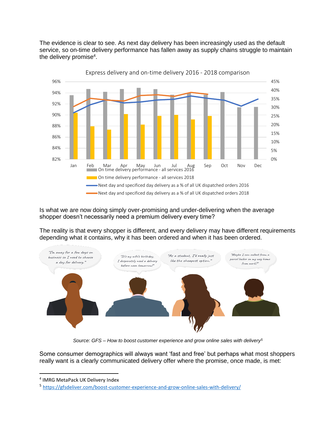The evidence is clear to see. As next day delivery has been increasingly used as the default service, so on-time delivery performance has fallen away as supply chains struggle to maintain the delivery promise<sup>4</sup>.



Is what we are now doing simply over-promising and under-delivering when the average shopper doesn't necessarily need a premium delivery every time?

The reality is that every shopper is different, and every delivery may have different requirements depending what it contains, why it has been ordered and when it has been ordered.



*Source: GFS – How to boost customer experience and grow online sales with delivery<sup>5</sup>*

Some consumer demographics will always want 'fast and free' but perhaps what most shoppers really want is a clearly communicated delivery offer where the promise, once made, is met:

 $\overline{a}$ 

<sup>4</sup> IMRG MetaPack UK Delivery Index

<sup>&</sup>lt;sup>5</sup> <https://gfsdeliver.com/boost-customer-experience-and-grow-online-sales-with-delivery/>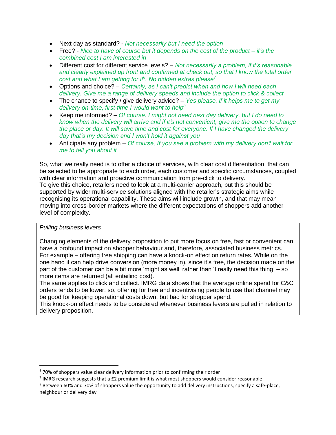- Next day as standard? *Not necessarily but I need the option*
- Free? *Nice to have of course but it depends on the cost of the product – it's the combined cost I am interested in*
- Different cost for different service levels? *Not necessarily a problem, if it's reasonable and clearly explained up front and confirmed at check out, so that I know the total order cost and what I am getting for it<sup>6</sup> . No hidden extras please<sup>7</sup>*
- Options and choice? *Certainly, as I can't predict when and how I will need each delivery. Give me a range of delivery speeds and include the option to click & collect*
- The chance to specify / give delivery advice? *Yes please, if it helps me to get my delivery on-time, first-time I would want to help<sup>8</sup>*
- Keep me informed? *Of course. I might not need next day delivery, but I do need to know when the delivery will arrive and if it's not convenient, give me the option to change the place or day. It will save time and cost for everyone. If I have changed the delivery day that's my decision and I won't hold it against you*
- Anticipate any problem *Of course, If you see a problem with my delivery don't wait for me to tell you about it*

So, what we really need is to offer a choice of services, with clear cost differentiation, that can be selected to be appropriate to each order, each customer and specific circumstances, coupled with clear information and proactive communication from pre-click to delivery.

To give this choice, retailers need to look at a multi-carrier approach, but this should be supported by wider multi-service solutions aligned with the retailer's strategic aims while recognising its operational capability. These aims will include growth, and that may mean moving into cross-border markets where the different expectations of shoppers add another level of complexity.

*Pulling business levers* 

l

Changing elements of the delivery proposition to put more focus on free, fast or convenient can have a profound impact on shopper behaviour and, therefore, associated business metrics. For example – offering free shipping can have a knock-on effect on return rates. While on the one hand it can help drive conversion (more money in), since it's free, the decision made on the part of the customer can be a bit more 'might as well' rather than 'I really need this thing' – so more items are returned (all entailing cost).

The same applies to click and collect. IMRG data shows that the average online spend for C&C orders tends to be lower; so, offering for free and incentivising people to use that channel may be good for keeping operational costs down, but bad for shopper spend.

This knock-on effect needs to be considered whenever business levers are pulled in relation to delivery proposition.

 $6$  70% of shoppers value clear delivery information prior to confirming their order

<sup>7</sup> IMRG research suggests that a £2 premium limit is what most shoppers would consider reasonable

<sup>&</sup>lt;sup>8</sup> Between 60% and 70% of shoppers value the opportunity to add delivery instructions, specify a safe-place, neighbour or delivery day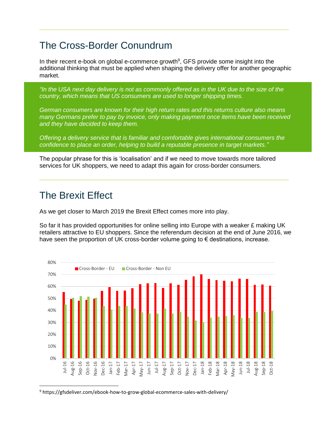# The Cross-Border Conundrum

In their recent e-book on global e-commerce growth<sup>9</sup>, GFS provide some insight into the additional thinking that must be applied when shaping the delivery offer for another geographic market.

*"In the USA next day delivery is not as commonly offered as in the UK due to the size of the country, which means that US consumers are used to longer shipping times.* 

*German consumers are known for their high return rates and this returns culture also means many Germans prefer to pay by invoice, only making payment once items have been received and they have decided to keep them.* 

*Offering a delivery service that is familiar and comfortable gives international consumers the confidence to place an order, helping to build a reputable presence in target markets."*

The popular phrase for this is 'localisation' and if we need to move towards more tailored services for UK shoppers, we need to adapt this again for cross-border consumers.

### The Brexit Effect

As we get closer to March 2019 the Brexit Effect comes more into play.

So far it has provided opportunities for online selling into Europe with a weaker  $\epsilon$  making UK retailers attractive to EU shoppers. Since the referendum decision at the end of June 2016, we have seen the proportion of UK cross-border volume going to  $\epsilon$  destinations, increase.



<sup>9</sup> https://gfsdeliver.com/ebook-how-to-grow-global-ecommerce-sales-with-delivery/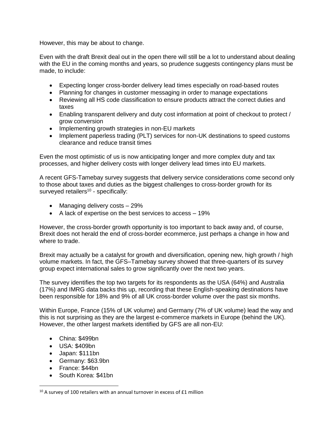However, this may be about to change.

Even with the draft Brexit deal out in the open there will still be a lot to understand about dealing with the EU in the coming months and years, so prudence suggests contingency plans must be made, to include:

- Expecting longer cross-border delivery lead times especially on road-based routes
- Planning for changes in customer messaging in order to manage expectations
- Reviewing all HS code classification to ensure products attract the correct duties and taxes
- Enabling transparent delivery and duty cost information at point of checkout to protect / grow conversion
- Implementing growth strategies in non-EU markets
- Implement paperless trading (PLT) services for non-UK destinations to speed customs clearance and reduce transit times

Even the most optimistic of us is now anticipating longer and more complex duty and tax processes, and higher delivery costs with longer delivery lead times into EU markets.

A recent GFS-Tamebay survey suggests that delivery service considerations come second only to those about taxes and duties as the biggest challenges to cross-border growth for its surveyed retailers<sup>10</sup> - specifically:

- Managing delivery costs 29%
- A lack of expertise on the best services to access 19%

However, the cross-border growth opportunity is too important to back away and, of course, Brexit does not herald the end of cross-border ecommerce, just perhaps a change in how and where to trade.

Brexit may actually be a catalyst for growth and diversification, opening new, high growth / high volume markets. In fact, the GFS–Tamebay survey showed that three-quarters of its survey group expect international sales to grow significantly over the next two years.

The survey identifies the top two targets for its respondents as the USA (64%) and Australia (17%) and IMRG data backs this up, recording that these English-speaking destinations have been responsible for 18% and 9% of all UK cross-border volume over the past six months.

Within Europe, France (15% of UK volume) and Germany (7% of UK volume) lead the way and this is not surprising as they are the largest e-commerce markets in Europe (behind the UK). However, the other largest markets identified by GFS are all non-EU:

- China: \$499bn
- USA: \$409bn
- Japan: \$111bn
- Germany: \$63.9bn
- France: \$44bn

 $\overline{\phantom{a}}$ 

• South Korea: \$41bn

 $10$  A survey of 100 retailers with an annual turnover in excess of £1 million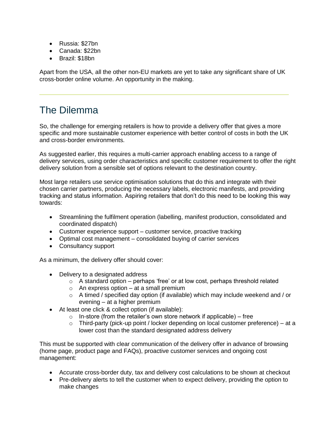- Russia: \$27bn
- Canada: \$22bn
- Brazil: \$18bn

Apart from the USA, all the other non-EU markets are yet to take any significant share of UK cross-border online volume. An opportunity in the making.

# The Dilemma

So, the challenge for emerging retailers is how to provide a delivery offer that gives a more specific and more sustainable customer experience with better control of costs in both the UK and cross-border environments.

As suggested earlier, this requires a multi-carrier approach enabling access to a range of delivery services, using order characteristics and specific customer requirement to offer the right delivery solution from a sensible set of options relevant to the destination country.

Most large retailers use service optimisation solutions that do this and integrate with their chosen carrier partners, producing the necessary labels, electronic manifests, and providing tracking and status information. Aspiring retailers that don't do this need to be looking this way towards:

- Streamlining the fulfilment operation (labelling, manifest production, consolidated and coordinated dispatch)
- Customer experience support customer service, proactive tracking
- Optimal cost management consolidated buying of carrier services
- Consultancy support

As a minimum, the delivery offer should cover:

- Delivery to a designated address
	- $\circ$  A standard option perhaps 'free' or at low cost, perhaps threshold related
	- $\circ$  An express option at a small premium
	- o A timed / specified day option (if available) which may include weekend and / or evening – at a higher premium
- At least one click & collect option (if available):
	- $\circ$  In-store (from the retailer's own store network if applicable) free
	- $\circ$  Third-party (pick-up point / locker depending on local customer preference) at a lower cost than the standard designated address delivery

This must be supported with clear communication of the delivery offer in advance of browsing (home page, product page and FAQs), proactive customer services and ongoing cost management:

- Accurate cross-border duty, tax and delivery cost calculations to be shown at checkout
- Pre-delivery alerts to tell the customer when to expect delivery, providing the option to make changes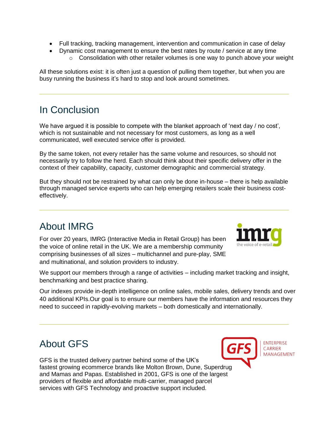- Full tracking, tracking management, intervention and communication in case of delay
- Dynamic cost management to ensure the best rates by route / service at any time
	- $\circ$  Consolidation with other retailer volumes is one way to punch above your weight

All these solutions exist: it is often just a question of pulling them together, but when you are busy running the business it's hard to stop and look around sometimes.

# In Conclusion

We have argued it is possible to compete with the blanket approach of 'next day / no cost', which is not sustainable and not necessary for most customers, as long as a well communicated, well executed service offer is provided.

By the same token, not every retailer has the same volume and resources, so should not necessarily try to follow the herd. Each should think about their specific delivery offer in the context of their capability, capacity, customer demographic and commercial strategy.

But they should not be restrained by what can only be done in-house – there is help available through managed service experts who can help emerging retailers scale their business costeffectively.

# About IMRG

For over 20 years, IMRG (Interactive Media in Retail Group) has been the voice of online retail in the UK. We are a membership community comprising businesses of all sizes – multichannel and pure-play, SME and multinational, and solution providers to industry.



We support our members through a range of activities – including market tracking and insight, benchmarking and best practice sharing.

Our indexes provide in-depth intelligence on online sales, mobile sales, delivery trends and over 40 additional KPIs.Our goal is to ensure our members have the information and resources they need to succeed in rapidly-evolving markets – both domestically and internationally.

# About GFS

GFS is the trusted delivery partner behind some of the UK's fastest growing ecommerce brands like Molton Brown, Dune, Superdrug and Mamas and Papas. Established in 2001, GFS is one of the largest providers of flexible and affordable multi-carrier, managed parcel services with GFS Technology and proactive support included.



**ENTERPRISE CARRIER MANAGEMENT**